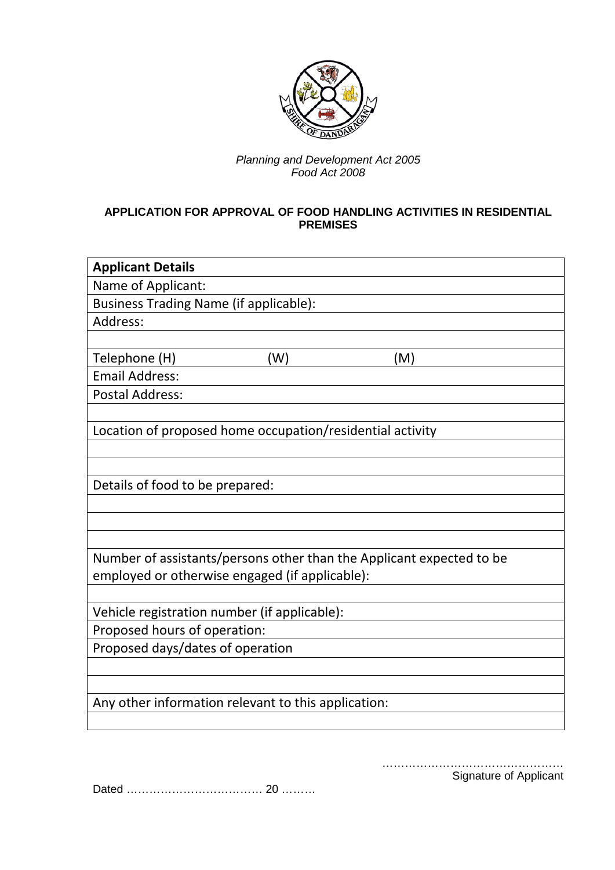

### *Planning and Development Act 2005 Food Act 2008*

## **APPLICATION FOR APPROVAL OF FOOD HANDLING ACTIVITIES IN RESIDENTIAL PREMISES**

| <b>Applicant Details</b>                                             |     |     |  |
|----------------------------------------------------------------------|-----|-----|--|
| Name of Applicant:                                                   |     |     |  |
| <b>Business Trading Name (if applicable):</b>                        |     |     |  |
| Address:                                                             |     |     |  |
|                                                                      |     |     |  |
| Telephone (H)                                                        | (W) | (M) |  |
| <b>Email Address:</b>                                                |     |     |  |
| <b>Postal Address:</b>                                               |     |     |  |
|                                                                      |     |     |  |
| Location of proposed home occupation/residential activity            |     |     |  |
|                                                                      |     |     |  |
|                                                                      |     |     |  |
| Details of food to be prepared:                                      |     |     |  |
|                                                                      |     |     |  |
|                                                                      |     |     |  |
|                                                                      |     |     |  |
| Number of assistants/persons other than the Applicant expected to be |     |     |  |
| employed or otherwise engaged (if applicable):                       |     |     |  |
|                                                                      |     |     |  |
| Vehicle registration number (if applicable):                         |     |     |  |
| Proposed hours of operation:                                         |     |     |  |
| Proposed days/dates of operation                                     |     |     |  |
|                                                                      |     |     |  |
|                                                                      |     |     |  |
| Any other information relevant to this application:                  |     |     |  |
|                                                                      |     |     |  |

………………………………………… Signature of Applicant

Dated ……………………………… 20 ………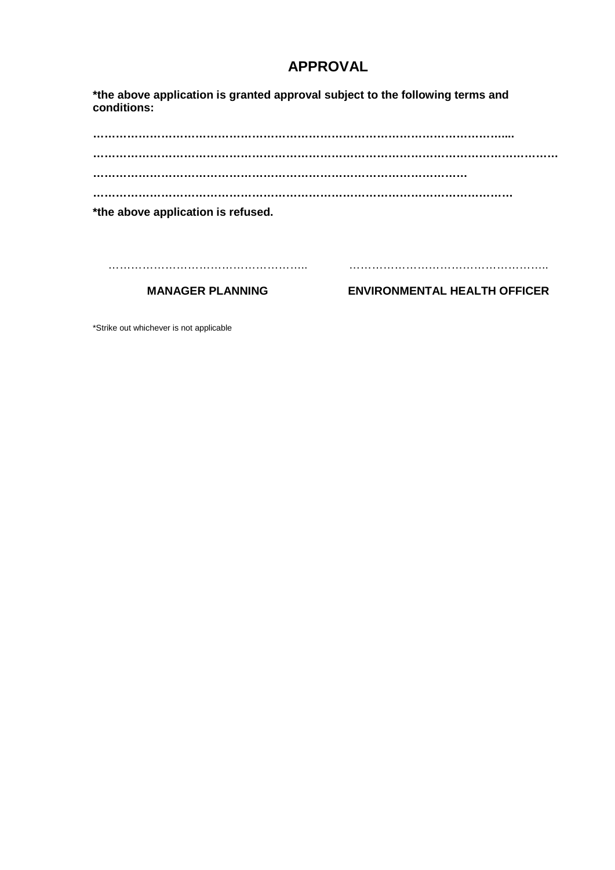# **APPROVAL**

**\*the above application is granted approval subject to the following terms and conditions:**

**……………………………………………………………………………………………….... …………………………………………………………………………………………………………… ……………………………………………………………………………………… ………………………………………………………………………………………………… \*the above application is refused.** …………………………………………….. ……………………………………………..

**MANAGER PLANNING**

**ENVIRONMENTAL HEALTH OFFICER**

\*Strike out whichever is not applicable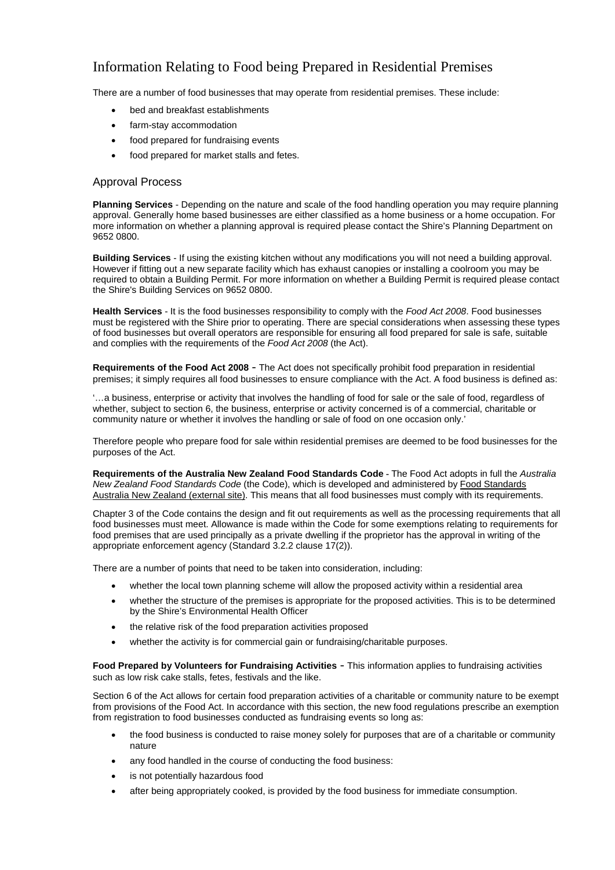## Information Relating to Food being Prepared in Residential Premises

There are a number of food businesses that may operate from residential premises. These include:

- bed and breakfast establishments
- farm-stav accommodation
- food prepared for fundraising events
- food prepared for market stalls and fetes.

#### Approval Process

**Planning Services** - Depending on the nature and scale of the food handling operation you may require planning approval. Generally home based businesses are either classified as a home business or a home occupation. For more information on whether a planning approval is required please contact the Shire's Planning Department on 9652 0800.

**Building Services** - If using the existing kitchen without any modifications you will not need a building approval. However if fitting out a new separate facility which has exhaust canopies or installing a coolroom you may be required to obtain a Building Permit. For more information on whether a Building Permit is required please contact the Shire's Building Services on 9652 0800.

**Health Services** - It is the food businesses responsibility to comply with the *Food Act 2008*. Food businesses must be registered with the Shire prior to operating. There are special considerations when assessing these types of food businesses but overall operators are responsible for ensuring all food prepared for sale is safe, suitable and complies with the requirements of the *[Food Act 2008](http://www.slp.wa.gov.au/legislation/statutes.nsf/main_mrtitle_3595_homepage.html)* (the Act).

**Requirements of the Food Act 2008** - The Act does not specifically prohibit food preparation in residential premises; it simply requires all food businesses to ensure compliance with the Act. A food business is defined as:

'…a business, enterprise or activity that involves the handling of food for sale or the sale of food, regardless of whether, subject to section 6, the business, enterprise or activity concerned is of a commercial, charitable or community nature or whether it involves the handling or sale of food on one occasion only.'

Therefore people who prepare food for sale within residential premises are deemed to be food businesses for the purposes of the Act.

**Requirements of the Australia New Zealand Food Standards Code -** The Food Act adopts in full the *Australia New Zealand Food Standards Code* (the Code), which is developed and administered by [Food Standards](http://www.foodstandards.gov.au/Pages/default.aspx)  [Australia New Zealand \(external site\).](http://www.foodstandards.gov.au/Pages/default.aspx) This means that all food businesses must comply with its requirements.

Chapter 3 of the Code contains the design and fit out requirements as well as the processing requirements that all food businesses must meet. Allowance is made within the Code for some exemptions relating to requirements for food premises that are used principally as a private dwelling if the proprietor has the approval in writing of the appropriate enforcement agency (Standard 3.2.2 clause 17(2)).

There are a number of points that need to be taken into consideration, including:

- whether the local town planning scheme will allow the proposed activity within a residential area
- whether the structure of the premises is appropriate for the proposed activities. This is to be determined by the Shire's Environmental Health Officer
- the relative risk of the food preparation activities proposed
- whether the activity is for commercial gain or fundraising/charitable purposes.

**Food Prepared by Volunteers for Fundraising Activities** - This information applies to fundraising activities such as low risk cake stalls, fetes, festivals and the like.

Section 6 of the Act allows for certain food preparation activities of a charitable or community nature to be exempt from provisions of the Food Act. In accordance with this section, the new food regulations prescribe an exemption from registration to food businesses conducted as fundraising events so long as:

- the food business is conducted to raise money solely for purposes that are of a charitable or community nature
- any food handled in the course of conducting the food business:
- is not potentially hazardous food
- after being appropriately cooked, is provided by the food business for immediate consumption.